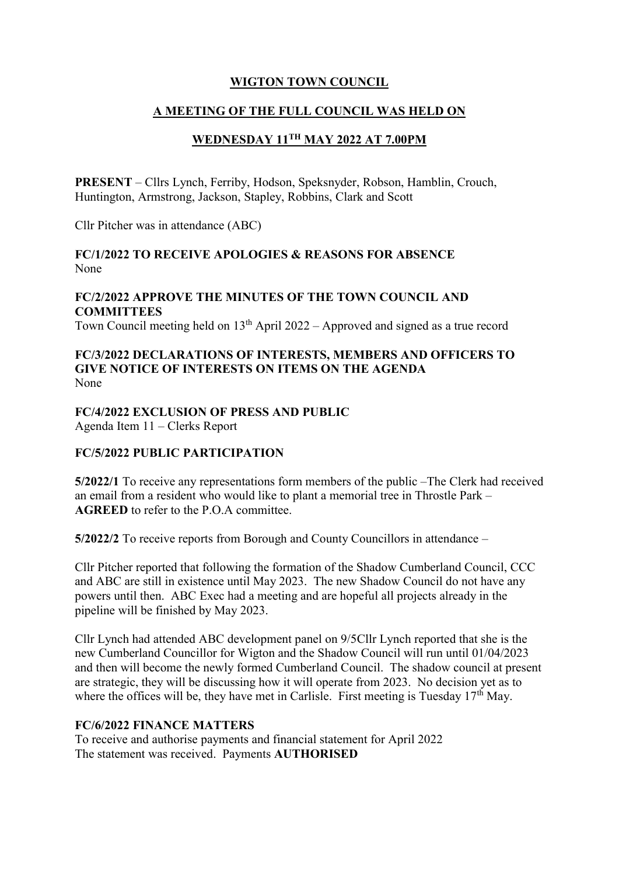## **WIGTON TOWN COUNCIL**

#### **A MEETING OF THE FULL COUNCIL WAS HELD ON**

# **WEDNESDAY 11TH MAY 2022 AT 7.00PM**

**PRESENT** – Cllrs Lynch, Ferriby, Hodson, Speksnyder, Robson, Hamblin, Crouch, Huntington, Armstrong, Jackson, Stapley, Robbins, Clark and Scott

Cllr Pitcher was in attendance (ABC)

#### **FC/1/2022 TO RECEIVE APOLOGIES & REASONS FOR ABSENCE** None

## **FC/2/2022 APPROVE THE MINUTES OF THE TOWN COUNCIL AND COMMITTEES**

Town Council meeting held on  $13<sup>th</sup>$  April 2022 – Approved and signed as a true record

#### **FC/3/2022 DECLARATIONS OF INTERESTS, MEMBERS AND OFFICERS TO GIVE NOTICE OF INTERESTS ON ITEMS ON THE AGENDA**  None

# **FC/4/2022 EXCLUSION OF PRESS AND PUBLIC**

Agenda Item 11 – Clerks Report

## **FC/5/2022 PUBLIC PARTICIPATION**

**5/2022/1** To receive any representations form members of the public –The Clerk had received an email from a resident who would like to plant a memorial tree in Throstle Park – **AGREED** to refer to the P.O.A committee.

**5/2022/2** To receive reports from Borough and County Councillors in attendance –

Cllr Pitcher reported that following the formation of the Shadow Cumberland Council, CCC and ABC are still in existence until May 2023. The new Shadow Council do not have any powers until then. ABC Exec had a meeting and are hopeful all projects already in the pipeline will be finished by May 2023.

Cllr Lynch had attended ABC development panel on 9/5Cllr Lynch reported that she is the new Cumberland Councillor for Wigton and the Shadow Council will run until 01/04/2023 and then will become the newly formed Cumberland Council. The shadow council at present are strategic, they will be discussing how it will operate from 2023. No decision yet as to where the offices will be, they have met in Carlisle. First meeting is Tuesday  $17<sup>th</sup>$  May.

## **FC/6/2022 FINANCE MATTERS**

To receive and authorise payments and financial statement for April 2022 The statement was received. Payments **AUTHORISED**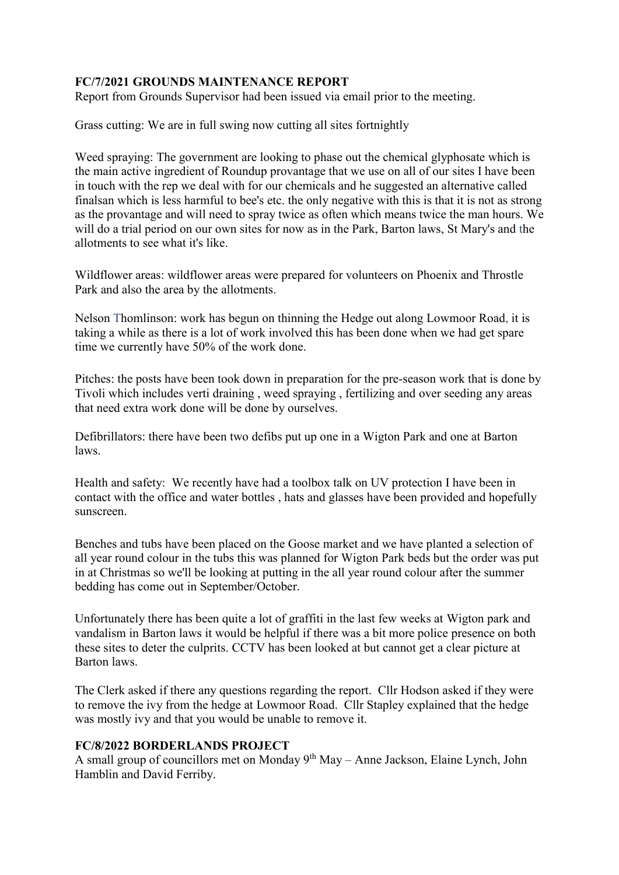## **FC/7/2021 GROUNDS MAINTENANCE REPORT**

Report from Grounds Supervisor had been issued via email prior to the meeting.

Grass cutting: We are in full swing now cutting all sites fortnightly

Weed spraying: The government are looking to phase out the chemical glyphosate which is the main active ingredient of Roundup provantage that we use on all of our sites I have been in touch with the rep we deal with for our chemicals and he suggested an alternative called finalsan which is less harmful to bee's etc. the only negative with this is that it is not as strong as the provantage and will need to spray twice as often which means twice the man hours. We will do a trial period on our own sites for now as in the Park, Barton laws, St Mary's and the allotments to see what it's like.

Wildflower areas: wildflower areas were prepared for volunteers on Phoenix and Throstle Park and also the area by the allotments.

Nelson Thomlinson: work has begun on thinning the Hedge out along Lowmoor Road, it is taking a while as there is a lot of work involved this has been done when we had get spare time we currently have 50% of the work done.

Pitches: the posts have been took down in preparation for the pre-season work that is done by Tivoli which includes verti draining , weed spraying , fertilizing and over seeding any areas that need extra work done will be done by ourselves.

Defibrillators: there have been two defibs put up one in a Wigton Park and one at Barton laws.

Health and safety: We recently have had a toolbox talk on UV protection I have been in contact with the office and water bottles , hats and glasses have been provided and hopefully sunscreen.

Benches and tubs have been placed on the Goose market and we have planted a selection of all year round colour in the tubs this was planned for Wigton Park beds but the order was put in at Christmas so we'll be looking at putting in the all year round colour after the summer bedding has come out in September/October.

Unfortunately there has been quite a lot of graffiti in the last few weeks at Wigton park and vandalism in Barton laws it would be helpful if there was a bit more police presence on both these sites to deter the culprits. CCTV has been looked at but cannot get a clear picture at Barton laws.

The Clerk asked if there any questions regarding the report. Cllr Hodson asked if they were to remove the ivy from the hedge at Lowmoor Road. Cllr Stapley explained that the hedge was mostly ivy and that you would be unable to remove it.

#### **FC/8/2022 BORDERLANDS PROJECT**

A small group of councillors met on Monday 9<sup>th</sup> May – Anne Jackson, Elaine Lynch, John Hamblin and David Ferriby.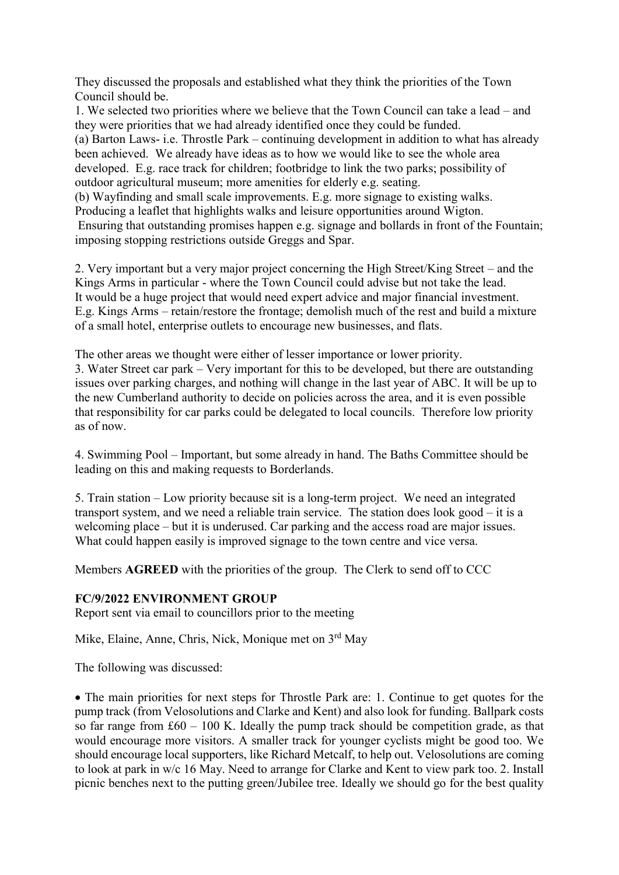They discussed the proposals and established what they think the priorities of the Town Council should be.

1. We selected two priorities where we believe that the Town Council can take a lead – and they were priorities that we had already identified once they could be funded. (a) Barton Laws- i.e. Throstle Park – continuing development in addition to what has already been achieved. We already have ideas as to how we would like to see the whole area developed. E.g. race track for children; footbridge to link the two parks; possibility of outdoor agricultural museum; more amenities for elderly e.g. seating.

(b) Wayfinding and small scale improvements. E.g. more signage to existing walks. Producing a leaflet that highlights walks and leisure opportunities around Wigton.

Ensuring that outstanding promises happen e.g. signage and bollards in front of the Fountain; imposing stopping restrictions outside Greggs and Spar.

2. Very important but a very major project concerning the High Street/King Street – and the Kings Arms in particular - where the Town Council could advise but not take the lead. It would be a huge project that would need expert advice and major financial investment. E.g. Kings Arms – retain/restore the frontage; demolish much of the rest and build a mixture of a small hotel, enterprise outlets to encourage new businesses, and flats.

The other areas we thought were either of lesser importance or lower priority.

3. Water Street car park – Very important for this to be developed, but there are outstanding issues over parking charges, and nothing will change in the last year of ABC. It will be up to the new Cumberland authority to decide on policies across the area, and it is even possible that responsibility for car parks could be delegated to local councils. Therefore low priority as of now.

4. Swimming Pool – Important, but some already in hand. The Baths Committee should be leading on this and making requests to Borderlands.

5. Train station – Low priority because sit is a long-term project. We need an integrated transport system, and we need a reliable train service. The station does look good – it is a welcoming place – but it is underused. Car parking and the access road are major issues. What could happen easily is improved signage to the town centre and vice versa.

Members **AGREED** with the priorities of the group. The Clerk to send off to CCC

#### **FC/9/2022 ENVIRONMENT GROUP**

Report sent via email to councillors prior to the meeting

Mike, Elaine, Anne, Chris, Nick, Monique met on 3rd May

The following was discussed:

• The main priorities for next steps for Throstle Park are: 1. Continue to get quotes for the pump track (from Velosolutions and Clarke and Kent) and also look for funding. Ballpark costs so far range from  $\text{\pounds}60 - 100$  K. Ideally the pump track should be competition grade, as that would encourage more visitors. A smaller track for younger cyclists might be good too. We should encourage local supporters, like Richard Metcalf, to help out. Velosolutions are coming to look at park in w/c 16 May. Need to arrange for Clarke and Kent to view park too. 2. Install picnic benches next to the putting green/Jubilee tree. Ideally we should go for the best quality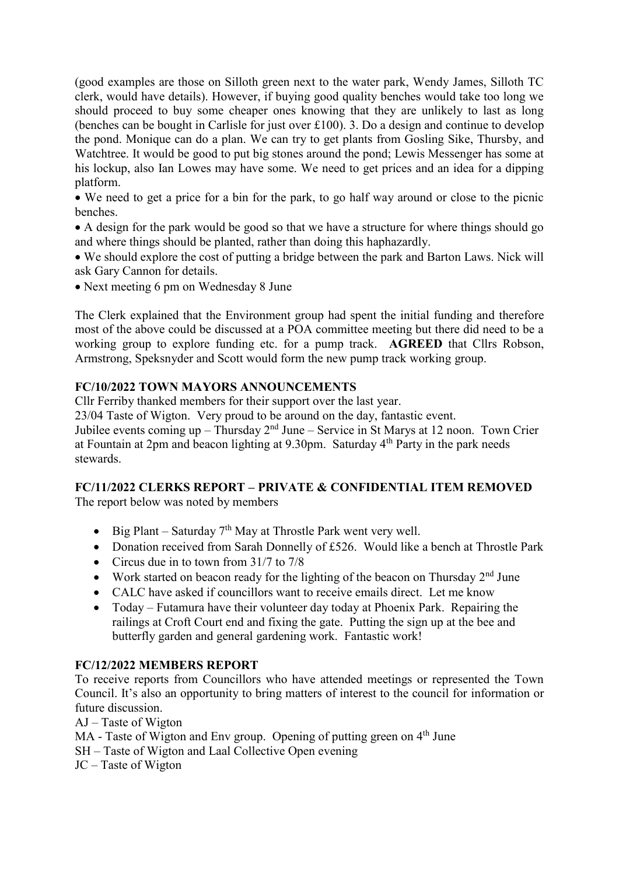(good examples are those on Silloth green next to the water park, Wendy James, Silloth TC clerk, would have details). However, if buying good quality benches would take too long we should proceed to buy some cheaper ones knowing that they are unlikely to last as long (benches can be bought in Carlisle for just over £100). 3. Do a design and continue to develop the pond. Monique can do a plan. We can try to get plants from Gosling Sike, Thursby, and Watchtree. It would be good to put big stones around the pond; Lewis Messenger has some at his lockup, also Ian Lowes may have some. We need to get prices and an idea for a dipping platform.

 We need to get a price for a bin for the park, to go half way around or close to the picnic benches.

 A design for the park would be good so that we have a structure for where things should go and where things should be planted, rather than doing this haphazardly.

 We should explore the cost of putting a bridge between the park and Barton Laws. Nick will ask Gary Cannon for details.

• Next meeting 6 pm on Wednesday 8 June

The Clerk explained that the Environment group had spent the initial funding and therefore most of the above could be discussed at a POA committee meeting but there did need to be a working group to explore funding etc. for a pump track. **AGREED** that Cllrs Robson, Armstrong, Speksnyder and Scott would form the new pump track working group.

#### **FC/10/2022 TOWN MAYORS ANNOUNCEMENTS**

Cllr Ferriby thanked members for their support over the last year.

23/04 Taste of Wigton. Very proud to be around on the day, fantastic event.

Jubilee events coming up – Thursday  $2<sup>nd</sup>$  June – Service in St Marys at 12 noon. Town Crier at Fountain at 2pm and beacon lighting at 9.30pm. Saturday 4th Party in the park needs stewards.

## **FC/11/2022 CLERKS REPORT – PRIVATE & CONFIDENTIAL ITEM REMOVED**

The report below was noted by members

- $\bullet$  Big Plant Saturday 7<sup>th</sup> May at Throstle Park went very well.
- Donation received from Sarah Donnelly of £526. Would like a bench at Throstle Park
- Circus due in to town from 31/7 to 7/8
- Work started on beacon ready for the lighting of the beacon on Thursday  $2<sup>nd</sup>$  June
- CALC have asked if councillors want to receive emails direct. Let me know
- Today Futamura have their volunteer day today at Phoenix Park. Repairing the railings at Croft Court end and fixing the gate. Putting the sign up at the bee and butterfly garden and general gardening work. Fantastic work!

#### **FC/12/2022 MEMBERS REPORT**

To receive reports from Councillors who have attended meetings or represented the Town Council. It's also an opportunity to bring matters of interest to the council for information or future discussion.

AJ – Taste of Wigton

 $MA$  - Taste of Wigton and Env group. Opening of putting green on  $4<sup>th</sup>$  June

SH – Taste of Wigton and Laal Collective Open evening

JC – Taste of Wigton